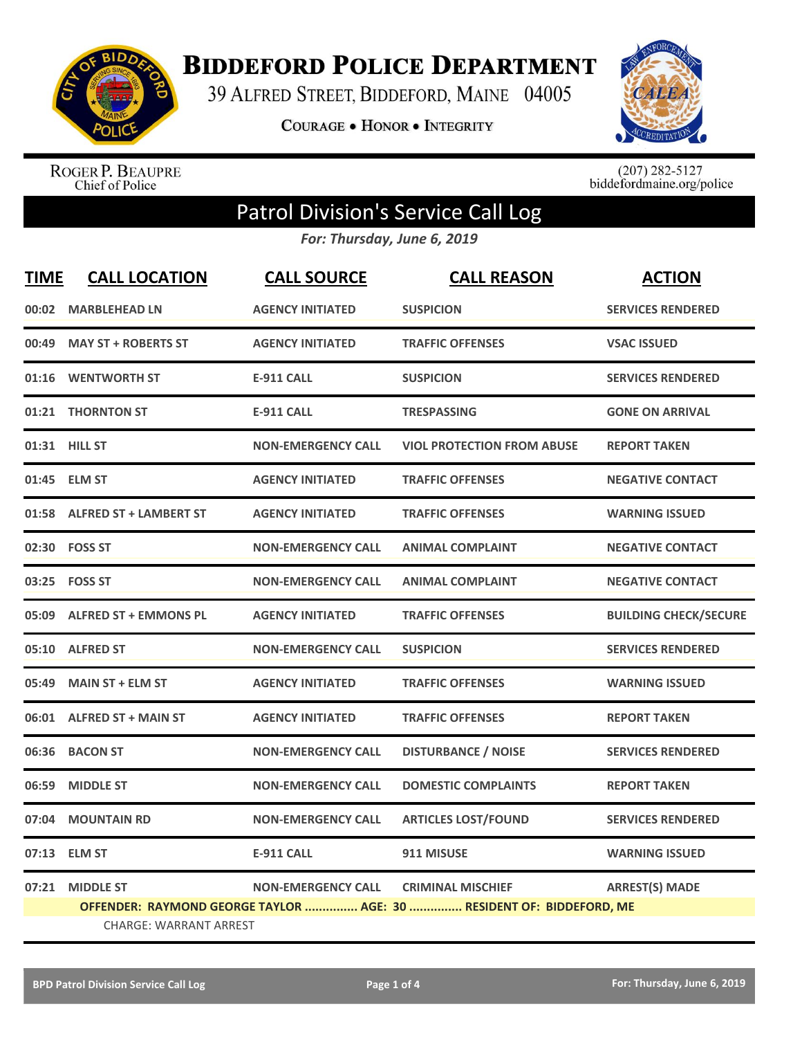

**BIDDEFORD POLICE DEPARTMENT** 

39 ALFRED STREET, BIDDEFORD, MAINE 04005

**COURAGE . HONOR . INTEGRITY** 



ROGER P. BEAUPRE<br>Chief of Police

 $(207)$  282-5127<br>biddefordmaine.org/police

## Patrol Division's Service Call Log

*For: Thursday, June 6, 2019*

| <b>TIME</b> | <b>CALL LOCATION</b>                                                 | <b>CALL SOURCE</b>        | <b>CALL REASON</b>                | <b>ACTION</b>                |  |
|-------------|----------------------------------------------------------------------|---------------------------|-----------------------------------|------------------------------|--|
| 00:02       | <b>MARBLEHEAD LN</b>                                                 | <b>AGENCY INITIATED</b>   | <b>SUSPICION</b>                  | <b>SERVICES RENDERED</b>     |  |
|             | 00:49 MAY ST + ROBERTS ST                                            | <b>AGENCY INITIATED</b>   | <b>TRAFFIC OFFENSES</b>           | <b>VSAC ISSUED</b>           |  |
|             | 01:16 WENTWORTH ST                                                   | <b>E-911 CALL</b>         | <b>SUSPICION</b>                  | <b>SERVICES RENDERED</b>     |  |
| 01:21       | <b>THORNTON ST</b>                                                   | <b>E-911 CALL</b>         | <b>TRESPASSING</b>                | <b>GONE ON ARRIVAL</b>       |  |
|             | 01:31 HILL ST                                                        | <b>NON-EMERGENCY CALL</b> | <b>VIOL PROTECTION FROM ABUSE</b> | <b>REPORT TAKEN</b>          |  |
|             | 01:45 ELM ST                                                         | <b>AGENCY INITIATED</b>   | <b>TRAFFIC OFFENSES</b>           | <b>NEGATIVE CONTACT</b>      |  |
|             | 01:58 ALFRED ST + LAMBERT ST                                         | <b>AGENCY INITIATED</b>   | <b>TRAFFIC OFFENSES</b>           | <b>WARNING ISSUED</b>        |  |
|             | 02:30 FOSS ST                                                        | <b>NON-EMERGENCY CALL</b> | <b>ANIMAL COMPLAINT</b>           | <b>NEGATIVE CONTACT</b>      |  |
|             | 03:25    FOSS ST                                                     | <b>NON-EMERGENCY CALL</b> | <b>ANIMAL COMPLAINT</b>           | <b>NEGATIVE CONTACT</b>      |  |
| 05:09       | <b>ALFRED ST + EMMONS PL</b>                                         | <b>AGENCY INITIATED</b>   | <b>TRAFFIC OFFENSES</b>           | <b>BUILDING CHECK/SECURE</b> |  |
|             | 05:10 ALFRED ST                                                      | <b>NON-EMERGENCY CALL</b> | <b>SUSPICION</b>                  | <b>SERVICES RENDERED</b>     |  |
| 05:49       | <b>MAIN ST + ELM ST</b>                                              | <b>AGENCY INITIATED</b>   | <b>TRAFFIC OFFENSES</b>           | <b>WARNING ISSUED</b>        |  |
|             | 06:01 ALFRED ST + MAIN ST                                            | <b>AGENCY INITIATED</b>   | <b>TRAFFIC OFFENSES</b>           | <b>REPORT TAKEN</b>          |  |
| 06:36       | <b>BACON ST</b>                                                      | <b>NON-EMERGENCY CALL</b> | <b>DISTURBANCE / NOISE</b>        | <b>SERVICES RENDERED</b>     |  |
| 06:59       | <b>MIDDLE ST</b>                                                     | <b>NON-EMERGENCY CALL</b> | <b>DOMESTIC COMPLAINTS</b>        | <b>REPORT TAKEN</b>          |  |
| 07:04       | <b>MOUNTAIN RD</b>                                                   | <b>NON-EMERGENCY CALL</b> | <b>ARTICLES LOST/FOUND</b>        | <b>SERVICES RENDERED</b>     |  |
|             | 07:13 ELM ST                                                         | <b>E-911 CALL</b>         | 911 MISUSE                        | <b>WARNING ISSUED</b>        |  |
| 07:21       | <b>MIDDLE ST</b>                                                     | <b>NON-EMERGENCY CALL</b> | <b>CRIMINAL MISCHIEF</b>          | <b>ARREST(S) MADE</b>        |  |
|             | OFFENDER: RAYMOND GEORGE TAYLOR  AGE: 30  RESIDENT OF: BIDDEFORD, ME |                           |                                   |                              |  |
|             | <b>CHARGE: WARRANT ARREST</b>                                        |                           |                                   |                              |  |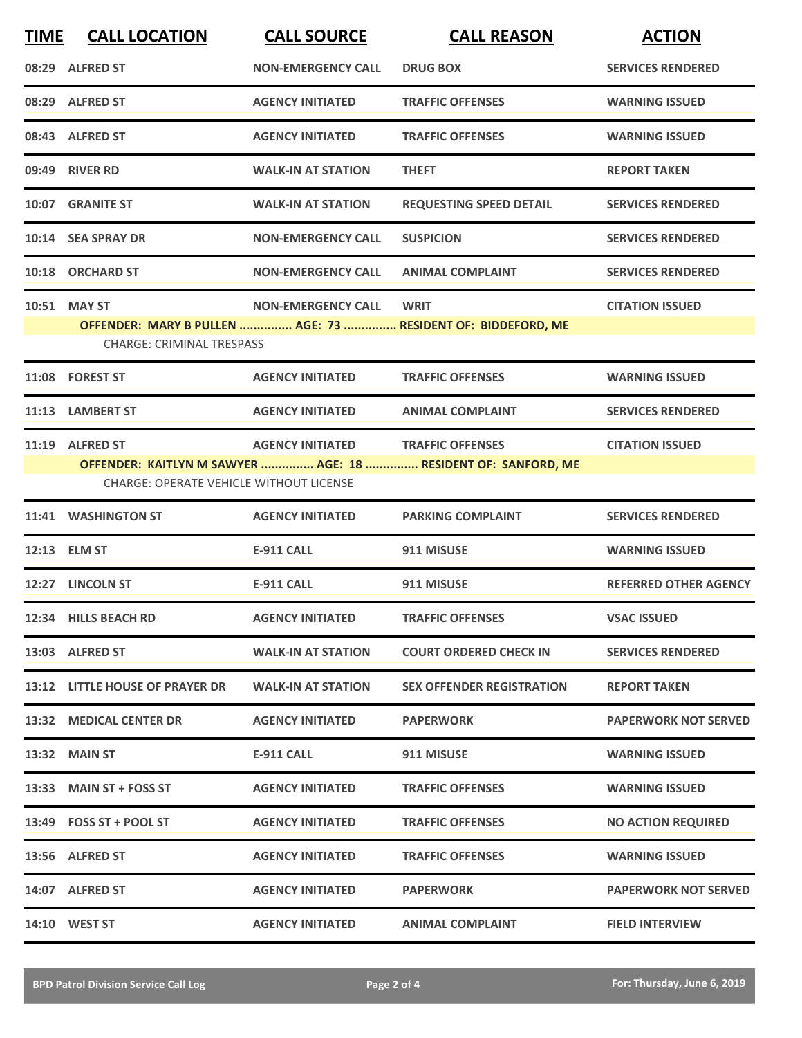| <b>TIME</b> | <b>CALL LOCATION</b>                           | <b>CALL SOURCE</b>        | <b>CALL REASON</b>                                            | <b>ACTION</b>                |
|-------------|------------------------------------------------|---------------------------|---------------------------------------------------------------|------------------------------|
|             | 08:29 ALFRED ST                                | <b>NON-EMERGENCY CALL</b> | <b>DRUG BOX</b>                                               | <b>SERVICES RENDERED</b>     |
|             | 08:29 ALFRED ST                                | <b>AGENCY INITIATED</b>   | <b>TRAFFIC OFFENSES</b>                                       | <b>WARNING ISSUED</b>        |
|             | 08:43 ALFRED ST                                | <b>AGENCY INITIATED</b>   | <b>TRAFFIC OFFENSES</b>                                       | <b>WARNING ISSUED</b>        |
|             | 09:49 RIVER RD                                 | <b>WALK-IN AT STATION</b> | <b>THEFT</b>                                                  | <b>REPORT TAKEN</b>          |
|             | 10:07 GRANITE ST                               | <b>WALK-IN AT STATION</b> | <b>REQUESTING SPEED DETAIL</b>                                | <b>SERVICES RENDERED</b>     |
|             | 10:14 SEA SPRAY DR                             | <b>NON-EMERGENCY CALL</b> | <b>SUSPICION</b>                                              | <b>SERVICES RENDERED</b>     |
|             | 10:18 ORCHARD ST                               | <b>NON-EMERGENCY CALL</b> | <b>ANIMAL COMPLAINT</b>                                       | <b>SERVICES RENDERED</b>     |
|             | 10:51 MAY ST                                   | <b>NON-EMERGENCY CALL</b> | <b>WRIT</b>                                                   | <b>CITATION ISSUED</b>       |
|             | <b>CHARGE: CRIMINAL TRESPASS</b>               |                           | OFFENDER: MARY B PULLEN  AGE: 73  RESIDENT OF: BIDDEFORD, ME  |                              |
|             | 11:08 FOREST ST                                | <b>AGENCY INITIATED</b>   | <b>TRAFFIC OFFENSES</b>                                       | <b>WARNING ISSUED</b>        |
|             | 11:13 LAMBERT ST                               | <b>AGENCY INITIATED</b>   | <b>ANIMAL COMPLAINT</b>                                       | <b>SERVICES RENDERED</b>     |
|             | 11:19 ALFRED ST                                | <b>AGENCY INITIATED</b>   | <b>TRAFFIC OFFENSES</b>                                       | <b>CITATION ISSUED</b>       |
|             | <b>CHARGE: OPERATE VEHICLE WITHOUT LICENSE</b> |                           | OFFENDER: KAITLYN M SAWYER  AGE: 18  RESIDENT OF: SANFORD, ME |                              |
|             | 11:41 WASHINGTON ST                            | <b>AGENCY INITIATED</b>   | <b>PARKING COMPLAINT</b>                                      | <b>SERVICES RENDERED</b>     |
|             | 12:13 ELM ST                                   | <b>E-911 CALL</b>         | 911 MISUSE                                                    | <b>WARNING ISSUED</b>        |
|             | 12:27 LINCOLN ST                               | <b>E-911 CALL</b>         | 911 MISUSE                                                    | <b>REFERRED OTHER AGENCY</b> |
|             | 12:34 HILLS BEACH RD                           | <b>AGENCY INITIATED</b>   | <b>TRAFFIC OFFENSES</b>                                       | <b>VSAC ISSUED</b>           |
|             | 13:03 ALFRED ST                                | <b>WALK-IN AT STATION</b> | <b>COURT ORDERED CHECK IN</b>                                 | <b>SERVICES RENDERED</b>     |
|             | 13:12 LITTLE HOUSE OF PRAYER DR                | <b>WALK-IN AT STATION</b> | <b>SEX OFFENDER REGISTRATION</b>                              | <b>REPORT TAKEN</b>          |
|             | 13:32 MEDICAL CENTER DR                        | <b>AGENCY INITIATED</b>   | <b>PAPERWORK</b>                                              | <b>PAPERWORK NOT SERVED</b>  |
|             | 13:32 MAIN ST                                  | <b>E-911 CALL</b>         | 911 MISUSE                                                    | <b>WARNING ISSUED</b>        |
|             | 13:33 MAIN ST + FOSS ST                        | <b>AGENCY INITIATED</b>   | <b>TRAFFIC OFFENSES</b>                                       | <b>WARNING ISSUED</b>        |
|             | $13:49$ FOSS ST + POOL ST                      | <b>AGENCY INITIATED</b>   | <b>TRAFFIC OFFENSES</b>                                       | <b>NO ACTION REQUIRED</b>    |
|             | 13:56 ALFRED ST                                | <b>AGENCY INITIATED</b>   | <b>TRAFFIC OFFENSES</b>                                       | <b>WARNING ISSUED</b>        |
|             | 14:07 ALFRED ST                                | <b>AGENCY INITIATED</b>   | <b>PAPERWORK</b>                                              | <b>PAPERWORK NOT SERVED</b>  |
|             | <b>14:10 WEST ST</b>                           | <b>AGENCY INITIATED</b>   | <b>ANIMAL COMPLAINT</b>                                       | <b>FIELD INTERVIEW</b>       |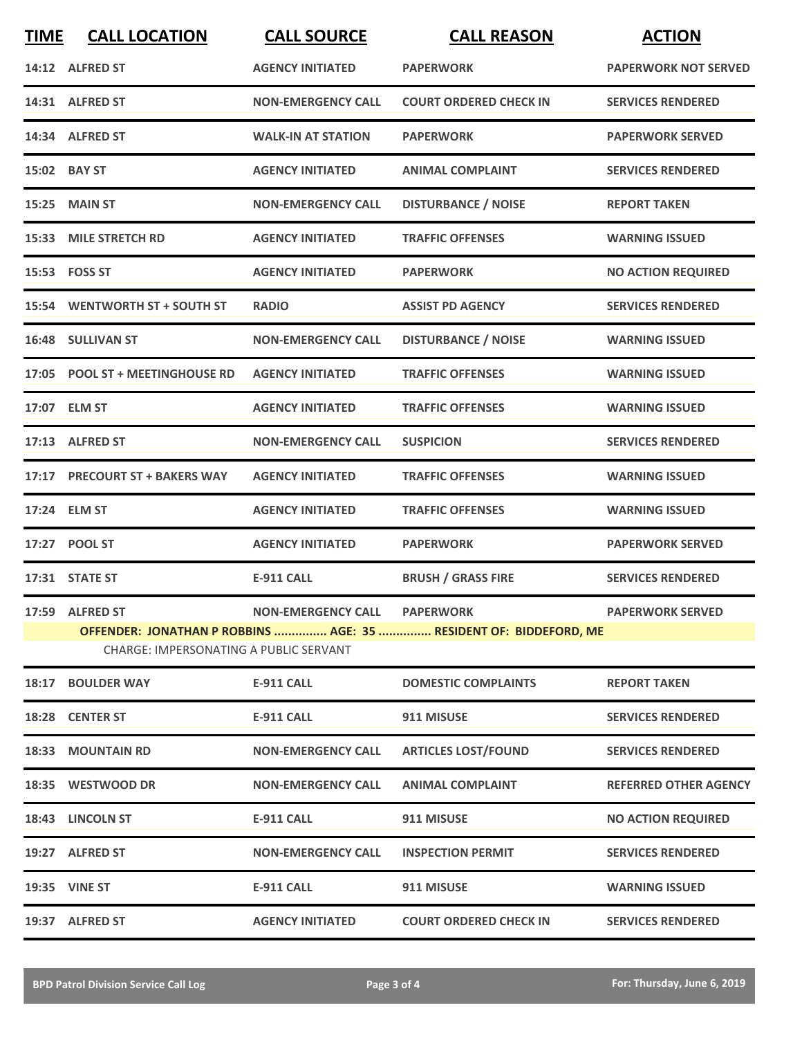| <b>TIME</b> | <b>CALL LOCATION</b>                   | <b>CALL SOURCE</b>           | <b>CALL REASON</b>                                                | <b>ACTION</b>                |
|-------------|----------------------------------------|------------------------------|-------------------------------------------------------------------|------------------------------|
|             | 14:12 ALFRED ST                        | <b>AGENCY INITIATED</b>      | <b>PAPERWORK</b>                                                  | <b>PAPERWORK NOT SERVED</b>  |
|             | 14:31 ALFRED ST                        | <b>NON-EMERGENCY CALL</b>    | <b>COURT ORDERED CHECK IN</b>                                     | <b>SERVICES RENDERED</b>     |
|             | 14:34 ALFRED ST                        | <b>WALK-IN AT STATION</b>    | <b>PAPERWORK</b>                                                  | <b>PAPERWORK SERVED</b>      |
|             | 15:02 BAY ST                           | <b>AGENCY INITIATED</b>      | <b>ANIMAL COMPLAINT</b>                                           | <b>SERVICES RENDERED</b>     |
|             | 15:25 MAIN ST                          | <b>NON-EMERGENCY CALL</b>    | <b>DISTURBANCE / NOISE</b>                                        | <b>REPORT TAKEN</b>          |
|             | 15:33 MILE STRETCH RD                  | <b>AGENCY INITIATED</b>      | <b>TRAFFIC OFFENSES</b>                                           | <b>WARNING ISSUED</b>        |
|             | 15:53 FOSS ST                          | <b>AGENCY INITIATED</b>      | <b>PAPERWORK</b>                                                  | <b>NO ACTION REQUIRED</b>    |
|             | 15:54 WENTWORTH ST + SOUTH ST          | <b>RADIO</b>                 | <b>ASSIST PD AGENCY</b>                                           | <b>SERVICES RENDERED</b>     |
|             | 16:48 SULLIVAN ST                      | <b>NON-EMERGENCY CALL</b>    | <b>DISTURBANCE / NOISE</b>                                        | <b>WARNING ISSUED</b>        |
|             | 17:05 POOL ST + MEETINGHOUSE RD        | <b>AGENCY INITIATED</b>      | <b>TRAFFIC OFFENSES</b>                                           | <b>WARNING ISSUED</b>        |
|             | 17:07 ELM ST                           | <b>AGENCY INITIATED</b>      | <b>TRAFFIC OFFENSES</b>                                           | <b>WARNING ISSUED</b>        |
|             | 17:13 ALFRED ST                        | <b>NON-EMERGENCY CALL</b>    | <b>SUSPICION</b>                                                  | <b>SERVICES RENDERED</b>     |
|             | 17:17 PRECOURT ST + BAKERS WAY         | <b>AGENCY INITIATED</b>      | <b>TRAFFIC OFFENSES</b>                                           | <b>WARNING ISSUED</b>        |
|             | 17:24 ELM ST                           | <b>AGENCY INITIATED</b>      | <b>TRAFFIC OFFENSES</b>                                           | <b>WARNING ISSUED</b>        |
|             | 17:27 POOL ST                          | <b>AGENCY INITIATED</b>      | <b>PAPERWORK</b>                                                  | <b>PAPERWORK SERVED</b>      |
|             | 17:31 STATE ST                         | <b>E-911 CALL</b>            | <b>BRUSH / GRASS FIRE</b>                                         | <b>SERVICES RENDERED</b>     |
|             | 17:59 ALFRED ST                        | NON-EMERGENCY CALL PAPERWORK |                                                                   | <b>PAPERWORK SERVED</b>      |
|             | CHARGE: IMPERSONATING A PUBLIC SERVANT |                              | OFFENDER: JONATHAN P ROBBINS  AGE: 35  RESIDENT OF: BIDDEFORD, ME |                              |
|             | 18:17 BOULDER WAY                      | <b>E-911 CALL</b>            | <b>DOMESTIC COMPLAINTS</b>                                        | <b>REPORT TAKEN</b>          |
|             | 18:28 CENTER ST                        | <b>E-911 CALL</b>            | 911 MISUSE                                                        | <b>SERVICES RENDERED</b>     |
|             | <b>18:33 MOUNTAIN RD</b>               | <b>NON-EMERGENCY CALL</b>    | <b>ARTICLES LOST/FOUND</b>                                        | <b>SERVICES RENDERED</b>     |
|             | 18:35 WESTWOOD DR                      | <b>NON-EMERGENCY CALL</b>    | <b>ANIMAL COMPLAINT</b>                                           | <b>REFERRED OTHER AGENCY</b> |
|             | 18:43 LINCOLN ST                       | E-911 CALL                   | 911 MISUSE                                                        | <b>NO ACTION REQUIRED</b>    |
|             | 19:27 ALFRED ST                        | <b>NON-EMERGENCY CALL</b>    | <b>INSPECTION PERMIT</b>                                          | <b>SERVICES RENDERED</b>     |
|             | <b>19:35 VINE ST</b>                   | E-911 CALL                   | 911 MISUSE                                                        | <b>WARNING ISSUED</b>        |
|             | 19:37 ALFRED ST                        | <b>AGENCY INITIATED</b>      | <b>COURT ORDERED CHECK IN</b>                                     | <b>SERVICES RENDERED</b>     |